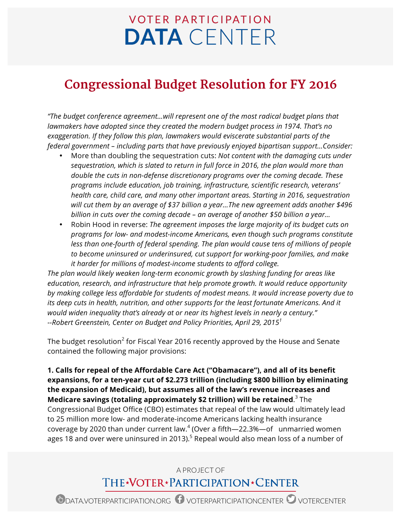## **VOTER PARTICIPATION DATA** CENTER

## **Congressional Budget Resolution for FY 2016**

*"The budget conference agreement…will represent one of the most radical budget plans that lawmakers have adopted since they created the modern budget process in 1974. That's no exaggeration. If they follow this plan, lawmakers would eviscerate substantial parts of the federal government – including parts that have previously enjoyed bipartisan support…Consider:*

- More than doubling the sequestration cuts: *Not content with the damaging cuts under sequestration, which is slated to return in full force in 2016, the plan would more than double the cuts in non-defense discretionary programs over the coming decade. These programs include education, job training, infrastructure, scientific research, veterans' health care, child care, and many other important areas. Starting in 2016, sequestration will cut them by an average of \$37 billion a year…The new agreement adds another \$496 billion in cuts over the coming decade – an average of another \$50 billion a year…*
- Robin Hood in reverse: *The agreement imposes the large majority of its budget cuts on programs for low- and modest-income Americans, even though such programs constitute less than one-fourth of federal spending. The plan would cause tens of millions of people to become uninsured or underinsured, cut support for working-poor families, and make it harder for millions of modest-income students to afford college.*

*The plan would likely weaken long-term economic growth by slashing funding for areas like education, research, and infrastructure that help promote growth. It would reduce opportunity by making college less affordable for students of modest means. It would increase poverty due to its deep cuts in health, nutrition, and other supports for the least fortunate Americans. And it would widen inequality that's already at or near its highest levels in nearly a century." --Robert Greenstein, Center on Budget and Policy Priorities, April 29, 2015<sup>1</sup>*

The budget resolution<sup>2</sup> for Fiscal Year 2016 recently approved by the House and Senate contained the following major provisions:

**1. Calls for repeal of the Affordable Care Act ("Obamacare"), and all of its benefit expansions, for a ten-year cut of \$2.273 trillion (including \$800 billion by eliminating the expansion of Medicaid), but assumes all of the law's revenue increases and Medicare savings (totaling approximately \$2 trillion) will be retained**. <sup>3</sup> The Congressional Budget Office (CBO) estimates that repeal of the law would ultimately lead to 25 million more low- and moderate-income Americans lacking health insurance coverage by 2020 than under current law.<sup>4</sup> (Over a fifth—22.3%—of unmarried women ages 18 and over were uninsured in 2013).<sup>5</sup> Repeal would also mean loss of a number of

## A PROJECT OF THE\*VOTER\*PARTICIPATION\*CENTER

ODATA.VOTERPARTICIPATION.ORG OVOTERPARTICIPATIONCENTER OVOTERCENTER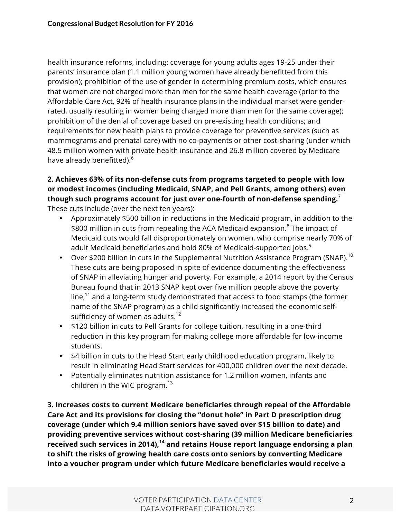health insurance reforms, including: coverage for young adults ages 19-25 under their parents' insurance plan (1.1 million young women have already benefitted from this provision); prohibition of the use of gender in determining premium costs, which ensures that women are not charged more than men for the same health coverage (prior to the Affordable Care Act, 92% of health insurance plans in the individual market were genderrated, usually resulting in women being charged more than men for the same coverage); prohibition of the denial of coverage based on pre-existing health conditions; and requirements for new health plans to provide coverage for preventive services (such as mammograms and prenatal care) with no co-payments or other cost-sharing (under which 48.5 million women with private health insurance and 26.8 million covered by Medicare have already benefitted).<sup>6</sup>

## **2. Achieves 63% of its non-defense cuts from programs targeted to people with low or modest incomes (including Medicaid, SNAP, and Pell Grants, among others) even though such programs account for just over one-fourth of non-defense spending.** 7 These cuts include (over the next ten years):

- Approximately \$500 billion in reductions in the Medicaid program, in addition to the \$800 million in cuts from repealing the ACA Medicaid expansion.<sup>8</sup> The impact of Medicaid cuts would fall disproportionately on women, who comprise nearly 70% of adult Medicaid beneficiaries and hold 80% of Medicaid-supported jobs.<sup>9</sup>
- Over \$200 billion in cuts in the Supplemental Nutrition Assistance Program (SNAP). $^{10}$ These cuts are being proposed in spite of evidence documenting the effectiveness of SNAP in alleviating hunger and poverty. For example, a 2014 report by the Census Bureau found that in 2013 SNAP kept over five million people above the poverty line, $11$  and a long-term study demonstrated that access to food stamps (the former name of the SNAP program) as a child significantly increased the economic selfsufficiency of women as adults. $12$
- \$120 billion in cuts to Pell Grants for college tuition, resulting in a one-third reduction in this key program for making college more affordable for low-income students.
- \$4 billion in cuts to the Head Start early childhood education program, likely to result in eliminating Head Start services for 400,000 children over the next decade.
- Potentially eliminates nutrition assistance for 1.2 million women, infants and children in the WIC program. $^{13}$

**3. Increases costs to current Medicare beneficiaries through repeal of the Affordable Care Act and its provisions for closing the "donut hole" in Part D prescription drug coverage (under which 9.4 million seniors have saved over \$15 billion to date) and providing preventive services without cost-sharing (39 million Medicare beneficiaries received such services in 2014), <sup>14</sup> and retains House report language endorsing a plan to shift the risks of growing health care costs onto seniors by converting Medicare into a voucher program under which future Medicare beneficiaries would receive a**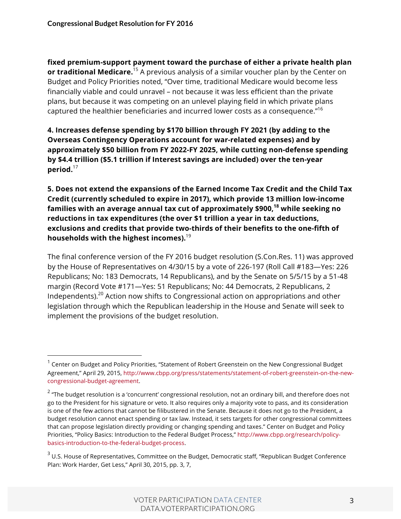**fixed premium-support payment toward the purchase of either a private health plan or traditional Medicare.**<sup>15</sup> A previous analysis of a similar voucher plan by the Center on Budget and Policy Priorities noted, "Over time, traditional Medicare would become less financially viable and could unravel – not because it was less efficient than the private plans, but because it was competing on an unlevel playing field in which private plans captured the healthier beneficiaries and incurred lower costs as a consequence."16

**4. Increases defense spending by \$170 billion through FY 2021 (by adding to the Overseas Contingency Operations account for war-related expenses) and by approximately \$50 billion from FY 2022-FY 2025, while cutting non-defense spending by \$4.4 trillion (\$5.1 trillion if Interest savings are included) over the ten-year period.**<sup>17</sup>

**5. Does not extend the expansions of the Earned Income Tax Credit and the Child Tax Credit (currently scheduled to expire in 2017), which provide 13 million low-income families with an average annual tax cut of approximately \$900,18 while seeking no reductions in tax expenditures (the over \$1 trillion a year in tax deductions, exclusions and credits that provide two-thirds of their benefits to the one-fifth of households with the highest incomes).**<sup>19</sup>

The final conference version of the FY 2016 budget resolution (S.Con.Res. 11) was approved by the House of Representatives on 4/30/15 by a vote of 226-197 (Roll Call #183—Yes: 226 Republicans; No: 183 Democrats, 14 Republicans), and by the Senate on 5/5/15 by a 51-48 margin (Record Vote #171—Yes: 51 Republicans; No: 44 Democrats, 2 Republicans, 2 Independents).20 Action now shifts to Congressional action on appropriations and other legislation through which the Republican leadership in the House and Senate will seek to implement the provisions of the budget resolution.

 $1$  Center on Budget and Policy Priorities, "Statement of Robert Greenstein on the New Congressional Budget Agreement," April 29, 2015, http://www.cbpp.org/press/statements/statement-of-robert-greenstein-on-the-newcongressional-budget-agreement.

<sup>&</sup>lt;sup>2</sup> "The budget resolution is a 'concurrent' congressional resolution, not an ordinary bill, and therefore does not go to the President for his signature or veto. It also requires only a majority vote to pass, and its consideration is one of the few actions that cannot be filibustered in the Senate. Because it does not go to the President, a budget resolution cannot enact spending or tax law. Instead, it sets targets for other congressional committees that can propose legislation directly providing or changing spending and taxes." Center on Budget and Policy Priorities, "Policy Basics: Introduction to the Federal Budget Process," http://www.cbpp.org/research/policybasics-introduction-to-the-federal-budget-process.

<sup>&</sup>lt;sup>3</sup> U.S. House of Representatives, Committee on the Budget, Democratic staff, "Republican Budget Conference Plan: Work Harder, Get Less," April 30, 2015, pp. 3, 7,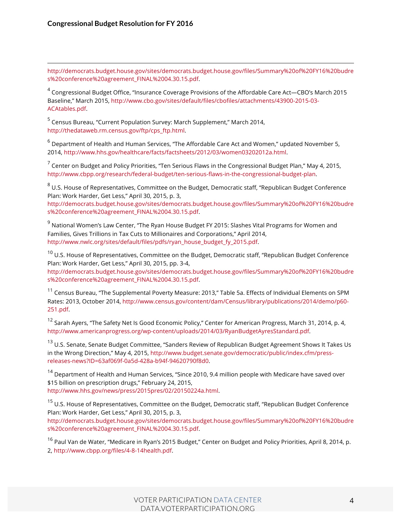http://democrats.budget.house.gov/sites/democrats.budget.house.gov/files/Summary%20of%20FY16%20budre s%20conference%20agreement\_FINAL%2004.30.15.pdf.

 $4$  Congressional Budget Office, "Insurance Coverage Provisions of the Affordable Care Act—CBO's March 2015 Baseline," March 2015, http://www.cbo.gov/sites/default/files/cbofiles/attachments/43900-2015-03- ACAtables.pdf.

<sup>5</sup> Census Bureau, "Current Population Survey: March Supplement," March 2014, http://thedataweb.rm.census.gov/ftp/cps\_ftp.html.

 $6$  Department of Health and Human Services, "The Affordable Care Act and Women," updated November 5, 2014, http://www.hhs.gov/healthcare/facts/factsheets/2012/03/women03202012a.html.

 $<sup>7</sup>$  Center on Budget and Policy Priorities, "Ten Serious Flaws in the Congressional Budget Plan," May 4, 2015,</sup> http://www.cbpp.org/research/federal-budget/ten-serious-flaws-in-the-congressional-budget-plan.

<sup>8</sup> U.S. House of Representatives, Committee on the Budget, Democratic staff, "Republican Budget Conference Plan: Work Harder, Get Less," April 30, 2015, p. 3,

http://democrats.budget.house.gov/sites/democrats.budget.house.gov/files/Summary%20of%20FY16%20budre s%20conference%20agreement\_FINAL%2004.30.15.pdf.

 $9$  National Women's Law Center, "The Ryan House Budget FY 2015: Slashes Vital Programs for Women and Families, Gives Trillions in Tax Cuts to Millionaires and Corporations," April 2014, http://www.nwlc.org/sites/default/files/pdfs/ryan\_house\_budget\_fy\_2015.pdf.

<sup>10</sup> U.S. House of Representatives, Committee on the Budget, Democratic staff, "Republican Budget Conference Plan: Work Harder, Get Less," April 30, 2015, pp. 3-4,

http://democrats.budget.house.gov/sites/democrats.budget.house.gov/files/Summary%20of%20FY16%20budre s%20conference%20agreement\_FINAL%2004.30.15.pdf.

<sup>11</sup> Census Bureau, "The Supplemental Poverty Measure: 2013," Table 5a. Effects of Individual Elements on SPM Rates: 2013, October 2014, http://www.census.gov/content/dam/Census/library/publications/2014/demo/p60- 251.pdf.

 $12$  Sarah Ayers, "The Safety Net Is Good Economic Policy," Center for American Progress, March 31, 2014, p. 4, http://www.americanprogress.org/wp-content/uploads/2014/03/RyanBudgetAyresStandard.pdf.

<sup>13</sup> U.S. Senate, Senate Budget Committee, "Sanders Review of Republican Budget Agreement Shows It Takes Us in the Wrong Direction," May 4, 2015, http://www.budget.senate.gov/democratic/public/index.cfm/pressreleases-news?ID=63af069f-0a5d-428a-b94f-94620790f8d0.

<sup>14</sup> Department of Health and Human Services, "Since 2010, 9.4 million people with Medicare have saved over \$15 billion on prescription drugs," February 24, 2015, http://www.hhs.gov/news/press/2015pres/02/20150224a.html.

<sup>15</sup> U.S. House of Representatives, Committee on the Budget, Democratic staff, "Republican Budget Conference Plan: Work Harder, Get Less," April 30, 2015, p. 3,

http://democrats.budget.house.gov/sites/democrats.budget.house.gov/files/Summary%20of%20FY16%20budre s%20conference%20agreement\_FINAL%2004.30.15.pdf.

<sup>16</sup> Paul Van de Water, "Medicare in Ryan's 2015 Budget," Center on Budget and Policy Priorities, April 8, 2014, p. 2, http://www.cbpp.org/files/4-8-14health.pdf.